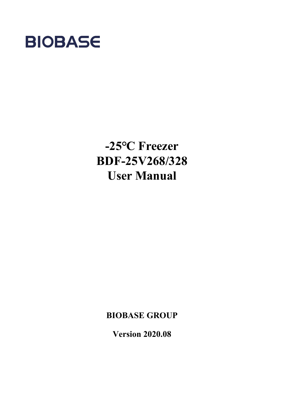

## **-25℃ Freezer BDF-25V268/328 User Manual**

**BIOBASE GROUP**

**Version 2020.08**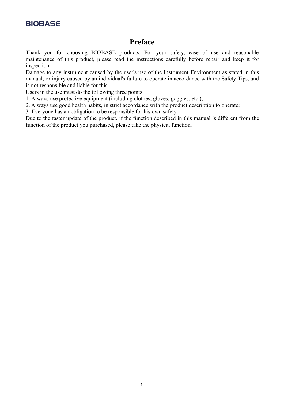## <span id="page-1-0"></span>**Preface**

Thank you for choosing BIOBASE products. For your safety, ease of use and reasonable maintenance of this product, please read the instructions carefully before repair and keep it for inspection.

Damage to any instrument caused by the user's use of the Instrument Environment as stated in this manual, or injury caused by an individual's failure to operate in accordance with the Safety Tips, and is not responsible and liable for this.

Users in the use must do the following three points:

1. Always use protective equipment (including clothes, gloves, goggles, etc.);

2. Always use good health habits, in strict accordance with the product description to operate;

3. Everyone has an obligation to be responsible for his own safety.

Due to the faster update of the product, if the function described in this manual is different from the function of the product you purchased, please take the physical function.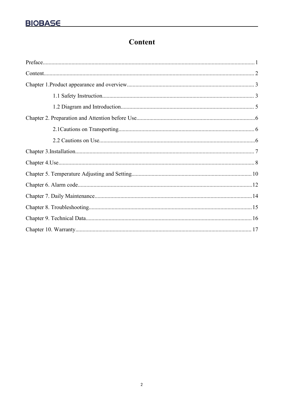## <span id="page-2-0"></span>**Content**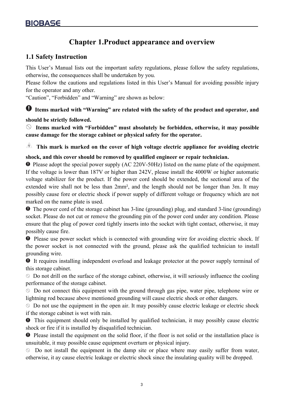## <span id="page-3-0"></span>**Chapter 1.Product appearance and overview**

#### <span id="page-3-1"></span>**1.1 Safety Instruction**

This User's Manual lists out the important safety regulations, please follow the safety regulations, otherwise, the consequences shall be undertaken by you.

Please follow the cautions and regulations listed in this User's Manual for avoiding possible injury for the operator and any other.

"Caution", "Forbidden" and "Warning" are shown as below:

## **Items marked with "Warning" are related with the safety of the product and operator, and**

#### **should be strictly followed.**

**Items marked with "Forbidden" must absolutely be forbidden, otherwise, it may possible cause damage for the storage cabinet or physical safety for the operator.**

**This mark is marked on the cover of high voltage electric appliance for avoiding electric**

#### **shock, and this cover should be removed by qualified engineer or repair technician.**

**O** Please adopt the special power supply (AC 220V-50Hz) listed on the name plate of the equipment. If the voltage is lower than 187V or higher than 242V, please install the 4000W or higher automatic voltage stabilizer for the product.If the power cord should be extended, the sectional area of the extended wire shall not be less than 2mm², and the length should not be longer than 3m. It may possibly cause fore or electric shock if power supply of different voltage or frequency which are not marked on the name plate is used.

**O** The power cord of the storage cabinet has 3-line (grounding) plug, and standard 3-line (grounding) socket. Please do not cut or remove the grounding pin of the power cord under any condition. Please ensure that the plug of power cord tightly inserts into the socket with tight contact, otherwise, it may possibly cause fire.

**O** Please use power socket which is connected with grounding wire for avoiding electric shock. If the power socket is not connected with the ground, please ask the qualified technician to install grounding wire.

 $\bullet$  It requires installing independent overload and leakage protector at the power supply terminal of this storage cabinet.

 $\Diamond$  Do not drill on the surface of the storage cabinet, otherwise, it will seriously influence the cooling performance of the storage cabinet.

Do not connect this equipment with the ground through gas pipe, water pipe, telephone wire or lightning rod because above mentioned grounding will cause electric shock or other dangers.

 $\Diamond$  Do not use the equipment in the open air. It may possibly cause electric leakage or electric shock if the storage cabinet is wet with rain.

 $\bullet$  This equipment should only be installed by qualified technician, it may possibly cause electric shock or fire if it is installed by disqualified technician.

**O** Please install the equipment on the solid floor, if the floor is not solid or the installation place is unsuitable, it may possible cause equipment overturn or physical injury.

 $\Diamond$  Do not install the equipment in the damp site or place where may easily suffer from water, otherwise, it ay cause electric leakage or electric shock since the insulating quality will be dropped.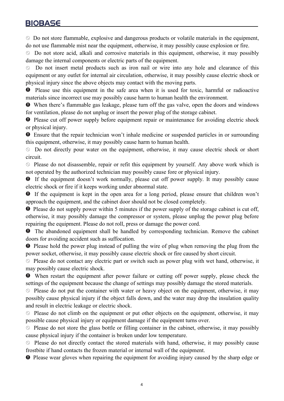$\Diamond$  Do not store flammable, explosive and dangerous products or volatile materials in the equipment, do not use flammable mist near the equipment, otherwise, it may possibly cause explosion or fire.

 $\circledcirc$  Do not store acid, alkali and corrosive materials in this equipment, otherwise, it may possibly damage the internal components or electric parts of the equipment.

Do not insert metal products such as iron nail or wire into any hole and clearance of this  $\circledcirc$ equipment or any outlet for internal air circulation, otherwise, it may possibly cause electric shock or physical injury since the above objects may contact with the moving parts.

**O** Please use this equipment in the safe area when it is used for toxic, harmful or radioactive materials since incorrect use may possibly cause harm to human health the environment.

When there's flammable gas leakage, please turn off the gas valve, open the doors and windows for ventilation, please do not unplug or insert the power plug of the storage cabinet.

**P** Please cut off power supply before equipment repair or maintenance for avoiding electric shock or physical injury.

Ensure that the repair technician won't inhale medicine or suspended particles in or surrounding this equipment, otherwise, it may possibly cause harm to human health.

Do not directly pour water on the equipment, otherwise, it may cause electric shock or short circuit.

 $\Diamond$  Please do not disassemble, repair or refit this equipment by yourself. Any above work which is not operated by the authorized technician may possibly cause fore or physical injury.

If the equipment doesn't work normally, please cut off power supply. It may possibly cause electric shock or fire if it keeps working under abnormal state.

If the equipment is kept in the open area for a long period, please ensure that children won't approach the equipment, and the cabinet door should not be closed completely.

**•** Please do not supply power within 5 minutes if the power supply of the storage cabinet is cut off, otherwise, it may possibly damage the compressor or system, please unplug the power plug before repairing the equipment. Please do not roll, press or damage the power cord.

 $\bullet$  The abandoned equipment shall be handled by corresponding technician. Remove the cabinet doors for avoiding accident such as suffocation.

**P** Please hold the power plug instead of pulling the wire of plug when removing the plug from the power socket, otherwise, it may possibly cause electric shock or fire caused by short circuit.

 $\Diamond$  Please do not contact any electric part or switch such as power plug with wet hand, otherwise, it may possibly cause electric shock.

When restart the equipment after power failure or cutting off power supply, please check the settings of the equipment because the change of settings may possibly damage the stored materials.

 $\Diamond$  Please do not put the container with water or heavy object on the equipment, otherwise, it may possibly cause physical injury if the object falls down, and the water may drop the insulation quality and result in electric leakage or electric shock.

 $\Diamond$  Please do not climb on the equipment or put other objects on the equipment, otherwise, it may possible cause physical injury or equipment damage if the equipment turns over.

 $\Diamond$  Please do not store the glass bottle or filling container in the cabinet, otherwise, it may possibly cause physical injury if the container is broken under low temperature.

 $\Diamond$  Please do not directly contact the stored materials with hand, otherwise, it may possibly cause frostbite if hand contacts the frozen material or internal wall of the equipment.

 $\bullet$  Please wear gloves when repairing the equipment for avoiding injury caused by the sharp edge or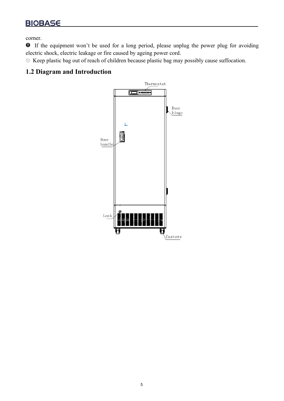corner.

If the equipment won't be used for a long period, please unplug the power plug for avoiding electric shock, electric leakage or fire caused by ageing power cord.

 $\Diamond$  Keep plastic bag out of reach of children because plastic bag may possibly cause suffocation.

#### <span id="page-5-0"></span>**1.2 Diagram and Introduction**

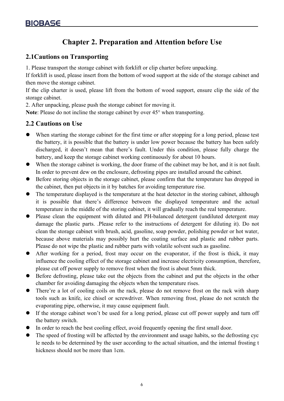## <span id="page-6-0"></span>**Chapter 2. Preparation and Attention before Use**

#### <span id="page-6-1"></span>**2.1Cautions on Transporting**

1. Please transport the storage cabinet with forklift or clip charter before unpacking.

If forklift is used, please insert from the bottom of wood support at the side of the storage cabinet and then move the storage cabinet.

If the clip charter is used, please lift from the bottom of wood support, ensure clip the side of the storage cabinet.

2. After unpacking, please push the storage cabinet for moving it.

**Note**: Please do not incline the storage cabinet by over 45° when transporting.

#### <span id="page-6-2"></span>**2.2 Cautions on Use**

- When starting the storage cabinet for the first time or after stopping for a long period, please test the battery, it is possible that the battery is under low power because the battery has been safely discharged, it doesn't mean that there's fault. Under this condition, please fully charge the battery, and keep the storage cabinet working continuously for about 10 hours.
- When the storage cabinet is working, the door frame of the cabinet may be hot, and it is not fault. In order to prevent dew on the enclosure, defrosting pipes are installed around the cabinet.
- Before storing objects in the storage cabinet, please confirm that the temperature has dropped in the cabinet, then put objects in it by batches for avoiding temperature rise.
- The temperature displayed is the temperature at the heat detector in the storing cabinet, although it is possible that there's difference between the displayed temperature and the actual temperature in the middle of the storing cabinet, it will gradually reach the real temperature.
- Please clean the equipment with diluted and PH-balanced detergent (undiluted detergent may damage the plastic parts. .Please refer to the instructions of detergent for diluting it). Do not clean the storage cabinet with brush, acid, gasoline, soap powder, polishing powder or hot water, because above materials may possibly hurt the coating surface and plastic and rubber parts. Please do not wipe the plastic and rubber parts with volatile solvent such as gasoline.
- After working for a period, frost may occur on the evaporator, if the frost is thick, it may influence the cooling effect of the storage cabinet and increase electricity consumption, therefore, please cut off power supply to remove frost when the frost is about 5mm thick.
- Before defrosting, please take out the objects from the cabinet and put the objects in the other chamber for avoiding damaging the objects when the temperature rises.
- There're a lot of cooling coils on the rack, please do not remove frost on the rack with sharp tools such as knife, ice chisel or screwdriver. When removing frost, please do not scratch the evaporating pipe, otherwise, it may cause equipment fault.
- If the storage cabinetwon't be used for a long period, please cut off power supply and turn off the battery switch.
- In order to reach the best cooling effect, avoid frequently opening the first small door.
- The speed of frosting will be affected by the environment and usage habits, so the defrosting cyc le needs to be determined by the user according to the actual situation, and the internal frosting t hickness should not be more than 1cm.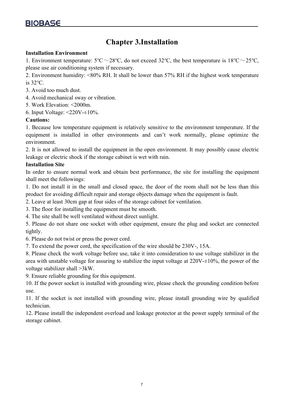## <span id="page-7-0"></span>**Chapter 3.Installation**

#### **Installation Environment**

1. Environment temperature:  $5^{\circ}C \sim 28^{\circ}C$ , do not exceed 32°C, the best temperature is  $18^{\circ}C \sim 25^{\circ}C$ , please use air conditioning system if necessary.

2. Environment humidity: <80% RH. It shall be lower than 57% RH if the highestwork temperature is 32℃.

- 3. Avoid too much dust.
- 4. Avoid mechanical sway or vibration.
- 5. Work Elevation: <2000m.
- 6. Input Voltage:  $\leq$ 220V- $\pm$ 10%.

#### **Cautions:**

1. Because low temperature equipment is relatively sensitive to the environment temperature. If the equipment is installed in other environments and can't work normally, please optimize the environment.

2. It is not allowed to install the equipment in the open environment. It may possibly cause electric leakage or electric shock if the storage cabinet is wet with rain.

#### **Installation Site**

In order to ensure normal work and obtain best performance, the site for installing the equipment shall meet the followings:

1. Do not install it in the small and closed space, the door of the room shall not be less than this product for avoiding difficult repair and storage objects damage when the equipment is fault.

2. Leave at least 30cm gap at four sides of the storage cabinet for ventilation.

3. The floor for installing the equipment must be smooth.

4. The site shall be well ventilated without direct sunlight.

5. Please do not share one socket with other equipment, ensure the plug and socket are connected tightly.

6. Please do not twist or press the power cord.

7. To extend the power cord, the specification of the wire should be 230V-, 15A.

8. Please check the work voltage before use, take it into consideration to use voltage stabilizer in the area with unstable voltage for assuring to stabilize the input voltage at  $220V \pm 10\%$ , the power of the voltage stabilizer shall >3kW.

9. Ensure reliable grounding for this equipment.

10. If the power socket is installed with grounding wire, please check the grounding condition before use.

11. If the socket is not installed with grounding wire, please install grounding wire by qualified technician.

12. Please install the independent overload and leakage protector at the power supply terminal of the storage cabinet.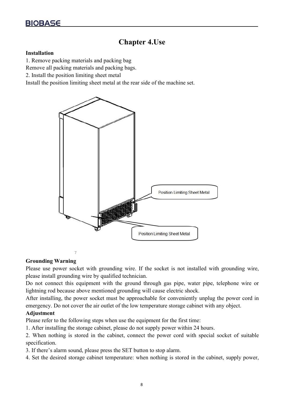## <span id="page-8-0"></span>**Chapter 4.Use**

#### **Installation**

1. Remove packing materials and packing bag

Remove all packing materials and packing bags.

2. Install the position limiting sheet metal

Install the position limiting sheet metal at the rear side of the machine set.



#### **Grounding Warning**

Please use power socket with grounding wire. If the socket is not installed with grounding wire, please install grounding wire by qualified technician.

Do not connect this equipment with the ground through gas pipe, water pipe, telephone wire or lightning rod because above mentioned grounding will cause electric shock.

After installing, the power socket must be approachable for conveniently unplug the power cord in emergency. Do not cover the air outlet of the low temperature storage cabinet with any object.

#### **Adjustment**

Please refer to the following steps when use the equipment for the first time:

1. After installing the storage cabinet, please do not supply power within 24 hours.

2. When nothing is stored in the cabinet, connect the power cord with special socket of suitable specification.

3. If there's alarm sound, please press the SET button to stop alarm.

4. Set the desired storage cabinet temperature: when nothing is stored in the cabinet, supply power,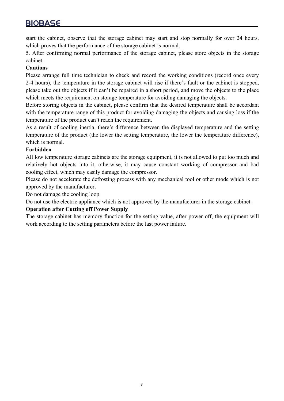start the cabinet, observe that the storage cabinet may start and stop normally for over 24 hours, which proves that the performance of the storage cabinet is normal.

5. After confirming normal performance of the storage cabinet, please store objects in the storage cabinet.

#### **Cautions**

Please arrange full time technician to check and record the working conditions (record once every 2-4 hours), the temperature in the storage cabinet will rise if there's fault or the cabinet is stopped, please take out the objects if it can't be repaired in a short period, and move the objects to the place which meets the requirement on storage temperature for avoiding damaging the objects.

Before storing objects in the cabinet, please confirm that the desired temperature shall be accordant with the temperature range of this product for avoiding damaging the objects and causing loss if the temperature of the product can't reach the requirement.

As a result of cooling inertia, there's difference between the displayed temperature and the setting temperature of the product (the lower the setting temperature, the lower the temperature difference), which is normal.

#### **Forbidden**

All low temperature storage cabinets are the storage equipment, it is not allowed to put too much and relatively hot objects into it, otherwise, it may cause constant working of compressor and bad cooling effect, which may easily damage the compressor.

Please do not accelerate the defrosting process with any mechanical tool or other mode which is not approved by the manufacturer.

Do not damage the cooling loop

Do not use the electric appliance which is not approved by the manufacturer in the storage cabinet.

#### **Operation after Cutting off Power Supply**

The storage cabinet has memory function for the setting value, after power off, the equipment will work according to the setting parameters before the last power failure.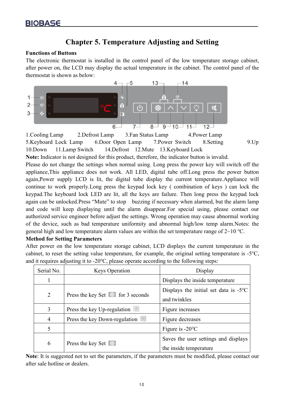## <span id="page-10-0"></span>**Chapter 5. Temperature Adjusting and Setting**

#### **Functions of Buttons**

The electronic thermostat is installed in the control panel of the low temperature storage cabinet, after power on, the LCD may display the actual temperature in the cabinet. The control panel of the thermostat is shown as below:



5.Keyboard Lock Lamp 6.Door Open Lamp 7.Power Switch 8.Setting 9.Up 10.Down 11.Lamp Switch 14.Defrost 12.Mute 13.Keyboard Lock

**Note:** Indicator is not designed for this product, therefore, the indicator button is invalid.

Please do not change the settings when normal using. Long press the power key will switch off the appliance,This appliance does not work. All LED, digital tube off.Long press the power button again,Power supply LCD is lit, the digital tube display the current temperature.Appliance will continue to work properly.Long press the keypad lock key ( combination of keys ) can lock the keypad.The keyboard lock LED are lit, all the keys are failure. Then long press the keypad lock again can be unlocked.Press "Mute" to stop buzzing if necessary when alarmed, but the alarm lamp and code will keep displaying until the alarm disappear.For special using, please contact our authorized service engineer before adjust the settings. Wrong operation may cause abnormal working of the device, such as bad temperature uniformity and abnormal high/low temp alarm.Notes: the general high and low temperature alarm values are within the set temperature range of  $2~10$  °C.

#### **Method for Setting Parameters**

After power on the low temperature storage cabinet, LCD displays the current temperature in the cabinet, to reset the setting value temperature, for example, the original setting temperature is-5℃, and it requires adjusting it to -20℃, please operate according to the following steps:

| Serial No.     | Display<br><b>Keys Operation</b>        |                                                                       |  |  |
|----------------|-----------------------------------------|-----------------------------------------------------------------------|--|--|
|                |                                         | Displays the inside temperature                                       |  |  |
| $\overline{2}$ | Press the key Set $\circ$ for 3 seconds | Displays the initial set data is $-5^{\circ}\text{C}$<br>and twinkles |  |  |
|                | Press the key Up-regulation             | Figure increases                                                      |  |  |
| 4              | Press the key Down-regulation           | Figure decreases                                                      |  |  |
|                |                                         | Figure is $-20^{\circ}$ C                                             |  |  |
| 6              | Press the key Set                       | Saves the user settings and displays<br>the inside temperature        |  |  |

Note: It is suggested not to set the parameters, if the parameters must be modified, please contact our after sale hotline or dealers.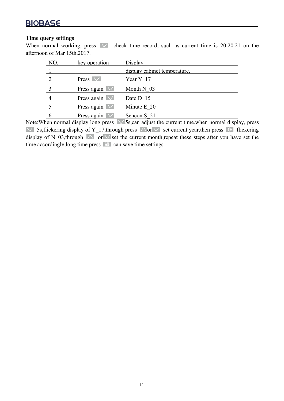#### **Time query settings**

When normal working, press  $\vee$  check time record, such as current time is 20:20.21 on the afternoon of Mar 15th,2017.

| NO. | key operation                 | Display                      |
|-----|-------------------------------|------------------------------|
|     |                               | display cabinet temperature. |
|     | Press $\vee$                  | Year Y 17                    |
|     | Press again $\overline{\vee}$ | Month N 03                   |
|     | Press again $\vee$            | Date D 15                    |
|     | Press again $\vee$            | Minute E 20                  |
|     | Press again $\vee$            | Sencon S 21                  |

Note: When normal display long press  $\sqrt{5}$ s,can adjust the current time.when normal display, press 5s,flickering display of Y\_17,through press  $\triangle$  or  $\vee$  set current year,then press  $\circ$  flickering display of N\_03,through  $\bigwedge$  or  $\bigvee$  set the current month,repeat these steps after you have set the time accordingly, long time press  $\phi$  can save time settings.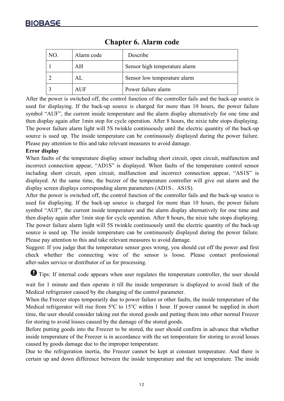| NO. | Alarm code | Describe                      |
|-----|------------|-------------------------------|
|     | AH         | Sensor high temperature alarm |
|     | AL         | Sensor low temperature alarm  |
|     | <b>AUF</b> | Power failure alarm           |

## <span id="page-12-0"></span>**Chapter 6. Alarm code**

After the power is switched off, the control function of the controller fails and the back-up source is used for displaying. If the back-up source is charged for more than 10 hours, the power failure symbol "AUF", the current inside temperature and the alarm display alternatively for one time and then display again after 1min stop for cycle operation. After 8 hours, the nixie tube stops displaying. The power failure alarm light will 5S twinkle continuously until the electric quantity of the back-up source is used up. The inside temperature can be continuously displayed during the power failure. Please pay attention to this and take relevant measures to avoid damage.

#### **Error display**

When faults of the temperature display sensor including short circuit, open circuit, malfunction and incorrect connection appear, "AD1S" is displayed. When faults of the temperature control sensor including short circuit, open circuit, malfunction and incorrect connection appear, "AS1S" is displayed. At the same time, the buzzer of the temperature controller will give out alarm and the display screen displays corresponding alarm parameters (AD1S、AS1S).

After the power is switched off, the control function of the controller fails and the back-up source is used for displaying. If the back-up source is charged for more than 10 hours, the power failure symbol "AUF", the current inside temperature and the alarm display alternatively for one time and then display again after 1min stop for cycle operation. After 8 hours, the nixie tube stops displaying. The power failure alarm light will 5S twinkle continuously until the electric quantity of the back-up source is used up. The inside temperature can be continuously displayed during the power failure. Please pay attention to this and take relevant measures to avoid damage.

Suggest: If you judge that the temperature sensor goes wrong, you should cut off the power and first check whether the connecting wire of the sensor is loose. Please contact professional [after-sales](javascript:void(0);) [service](javascript:void(0);) or distributor of us for processing.

 $\bullet$  Tips: If internal code appears when user regulates the temperature controller, the user should

wait for 1 minute and then operate it till the inside temperature is displayed to avoid fault of the Medical refrigerator caused by the changing of the control parameter.

When the Freezer stops temporarily due to power failure or other faults, the inside temperature of the Medical refrigerator will rise from 5℃ to 15℃ within 1 hour. If power cannot be supplied in short time, the user should consider taking out the stored goods and putting them into other normal Freezer for storing to avoid losses caused by the damage of the stored goods.

Before putting goods into the Freezer to be stored, the user should confirm in advance that whether inside temperature of the Freezer is in accordance with the set temperature for storing to avoid losses caused by goods damage due to the improper temperature.

Due to the refrigeration inertia, the Freezer cannot be kept at constant temperature. And there is certain up and down difference between the inside temperature and the set temperature. The inside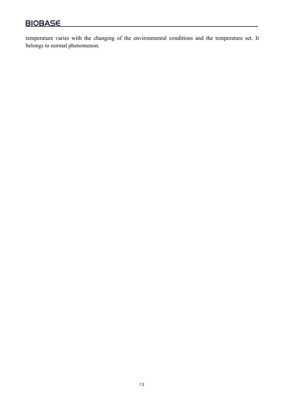temperature varies with the changing of the environmental conditions and the temperature set. It belongs to normal phenomenon.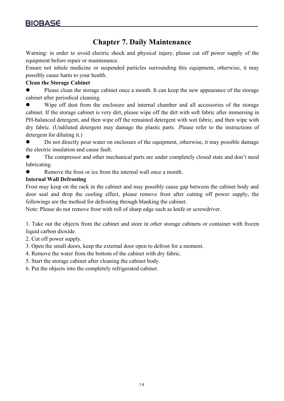## <span id="page-14-0"></span>**Chapter 7. Daily Maintenance**

Warning: in order to avoid electric shock and physical injury, please cut off power supply of the equipment before repair or maintenance.

Ensure not inhale medicine or suspended particles surrounding this equipment, otherwise, it may possibly cause harm to your health.

#### **Clean the Storage Cabinet**

• Please clean the storage cabinet once a month. It can keep the new appearance of the storage cabinet after periodical cleaning.

 Wipe off dust from the enclosure and internal chamber and all accessories of the storage cabinet. If the storage cabinet is very dirt, please wipe off the dirt with soft fabric after immersing in PH-balanced detergent, and then wipe off the remained detergent with wet fabric, and then wipe with dry fabric. (Undiluted detergent may damage the plastic parts. .Please refer to the instructions of detergent for diluting it.)

 Do not directly pour water on enclosure of the equipment, otherwise, it may possible damage the electric insulation and cause fault.

 The compressor and other mechanical parts are under completely closed state and don't need lubricating.

Remove the frost or ice from the internal wall once a month.

#### **Internal Wall Defrosting**

Frost may keep on the rack in the cabinet and may possibly cause gap between the cabinet body and door seal and drop the cooling effect, please remove frost after cutting off power supply, the followings are the method for defrosting through blanking the cabinet.

Note: Please do not remove frost with toll of sharp edge such as knife or screwdriver.

1. Take out the objects from the cabinet and store in other storage cabinets or container with frozen liquid carbon dioxide.

- 2. Cut off power supply.
- 3. Open the small doors, keep the external door open to defrost for a moment.
- 4. Remove the water from the bottom of the cabinet with dry fabric.
- 5. Start the storage cabinet after cleaning the cabinet body.
- <span id="page-14-1"></span>6. Put the objects into the completely refrigerated cabinet.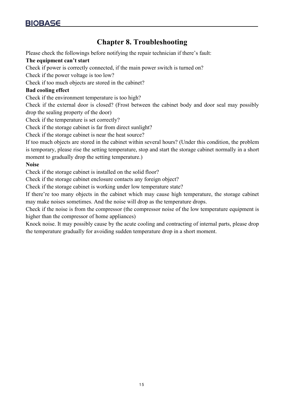## **Chapter 8. Troubleshooting**

Please check the followings before notifying the repair technician if there's fault:

#### **The equipment can't start**

Check if power is correctly connected, if the main power switch is turned on?

Check if the power voltage is too low?

Check if too much objects are stored in the cabinet?

#### **Bad cooling effect**

Check if the environment temperature is too high?

Check if the external door is closed? (Frost between the cabinet body and door seal may possibly drop the sealing property of the door)

Check if the temperature is set correctly?

Check if the storage cabinet is far from direct sunlight?

Check if the storage cabinet is near the heat source?

If too much objects are stored in the cabinet within several hours? (Under this condition, the problem is temporary, please rise the setting temperature, stop and start the storage cabinet normally in a short moment to gradually drop the setting temperature.)

#### **Noise**

Check if the storage cabinet is installed on the solid floor?

Check if the storage cabinet enclosure contacts any foreign object?

Check if the storage cabinet is working under low temperature state?

If there're too many objects in the cabinet which may cause high temperature, the storage cabinet may make noises sometimes. And the noise will drop as the temperature drops.

Check if the noise is from the compressor (the compressor noise of the low temperature equipment is higher than the compressor of home appliances)

Knock noise. It may possibly cause by the acute cooling and contracting of internal parts, please drop the temperature gradually for avoiding sudden temperature drop in a short moment.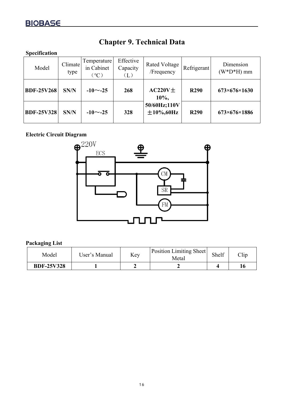| Specification     |                 |                                              |                                     |                                  |             |                             |
|-------------------|-----------------|----------------------------------------------|-------------------------------------|----------------------------------|-------------|-----------------------------|
| Model             | Climate<br>type | Temperature<br>in Cabinet<br>$\rm ^{\circ}C$ | Effective<br>Capacity<br>$(\Gamma)$ | Rated Voltage  <br>/Frequency    | Refrigerant | Dimension<br>$(W^*D^*H)$ mm |
| <b>BDF-25V268</b> | SN/N            | $-10$ $\sim$ -25                             | 268                                 | $AC220V\pm$<br>10%,              | <b>R290</b> | $673\times 676\times 1630$  |
| <b>BDF-25V328</b> | SN/N            | $-10$ $\sim$ -25                             | 328                                 | 50/60Hz;110V<br>$\pm 10\%$ ,60Hz | <b>R290</b> | $673\times676\times1886$    |

## <span id="page-16-0"></span>**Chapter 9. Technical Data**

# **Electric Circuit Diagram**



#### **Packaging List**

| Model             | Jser's Manual |  | <b>Position Limiting Sheet</b><br>Metal | Shelf | ⌒1.<br>CI1p |
|-------------------|---------------|--|-----------------------------------------|-------|-------------|
| <b>BDF-25V328</b> |               |  |                                         |       | 10          |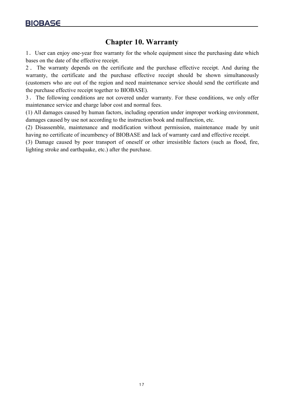## <span id="page-17-0"></span>**Chapter 10. Warranty**

1.User can enjoy one-year free warranty for the whole equipment since the purchasing date which bases on the date of the effective receipt.

2 . The warranty depends on the certificate and the purchase effective receipt. And during the warranty, the certificate and the purchase effective receipt should be shown simultaneously (customers who are out of the region and need maintenance service should send the certificate and the purchase effective receipt together to BIOBASE).

3.The following conditions are not covered under warranty. For these conditions, we only offer maintenance service and charge labor cost and normal fees.

(1) All damages caused by human factors, including operation under improper working environment, damages caused by use not according to the instruction book and malfunction, etc.

(2) Disassemble, maintenance and modification without permission, maintenance made by unit having no certificate of incumbency of BIOBASE and lack of warranty card and effective receipt.

(3) Damage caused by poor transport of oneself or other irresistible factors (such as flood, fire, lighting stroke and earthquake, etc.) after the purchase.